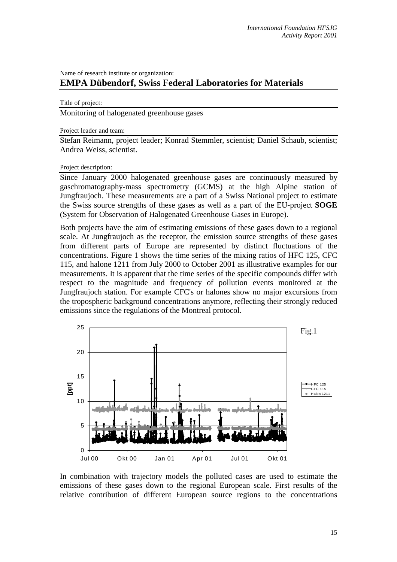## Name of research institute or organization: **EMPA Dübendorf, Swiss Federal Laboratories for Materials**

## Title of project:

Monitoring of halogenated greenhouse gases

Project leader and team:

Stefan Reimann, project leader; Konrad Stemmler, scientist; Daniel Schaub, scientist; Andrea Weiss, scientist.

## Project description:

Since January 2000 halogenated greenhouse gases are continuously measured by gaschromatography-mass spectrometry (GCMS) at the high Alpine station of Jungfraujoch. These measurements are a part of a Swiss National project to estimate the Swiss source strengths of these gases as well as a part of the EU-project **SOGE** (System for Observation of Halogenated Greenhouse Gases in Europe).

Both projects have the aim of estimating emissions of these gases down to a regional scale. At Jungfraujoch as the receptor, the emission source strengths of these gases from different parts of Europe are represented by distinct fluctuations of the concentrations. Figure 1 shows the time series of the mixing ratios of HFC 125, CFC 115, and halone 1211 from July 2000 to October 2001 as illustrative examples for our measurements. It is apparent that the time series of the specific compounds differ with respect to the magnitude and frequency of pollution events monitored at the Jungfraujoch station. For example CFC's or halones show no major excursions from the tropospheric background concentrations anymore, reflecting their strongly reduced emissions since the regulations of the Montreal protocol.



In combination with trajectory models the polluted cases are used to estimate the emissions of these gases down to the regional European scale. First results of the relative contribution of different European source regions to the concentrations